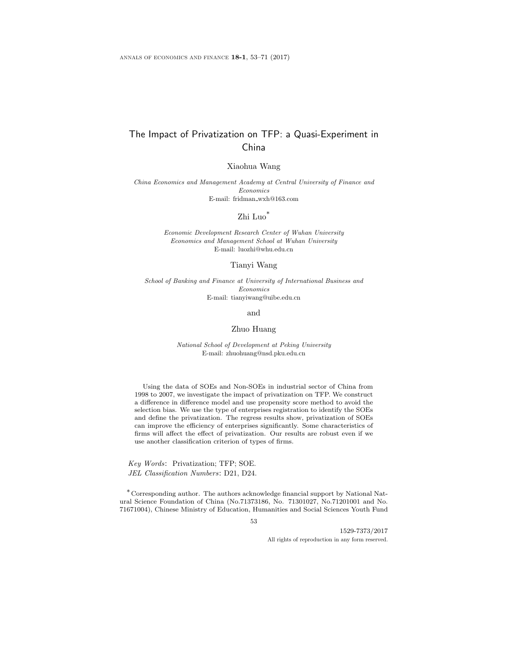# The Impact of Privatization on TFP: a Quasi-Experiment in China

Xiaohua Wang

China Economics and Management Academy at Central University of Finance and Economics E-mail: fridman wxh@163.com

Zhi Luo\*

Economic Development Research Center of Wuhan University Economics and Management School at Wuhan University E-mail: luozhi@whu.edu.cn

Tianyi Wang

School of Banking and Finance at University of International Business and Economics E-mail: tianyiwang@uibe.edu.cn

and

#### Zhuo Huang

National School of Development at Peking University E-mail: zhuohuang@nsd.pku.edu.cn

Using the data of SOEs and Non-SOEs in industrial sector of China from 1998 to 2007, we investigate the impact of privatization on TFP. We construct a difference in difference model and use propensity score method to avoid the selection bias. We use the type of enterprises registration to identify the SOEs and define the privatization. The regress results show, privatization of SOEs can improve the efficiency of enterprises significantly. Some characteristics of firms will affect the effect of privatization. Our results are robust even if we use another classification criterion of types of firms.

Key Words: Privatization; TFP; SOE. JEL Classification Numbers: D21, D24.

\*Corresponding author. The authors acknowledge financial support by National Natural Science Foundation of China (No.71373186, No. 71301027, No.71201001 and No. 71671004), Chinese Ministry of Education, Humanities and Social Sciences Youth Fund

53

1529-7373/2017 All rights of reproduction in any form reserved.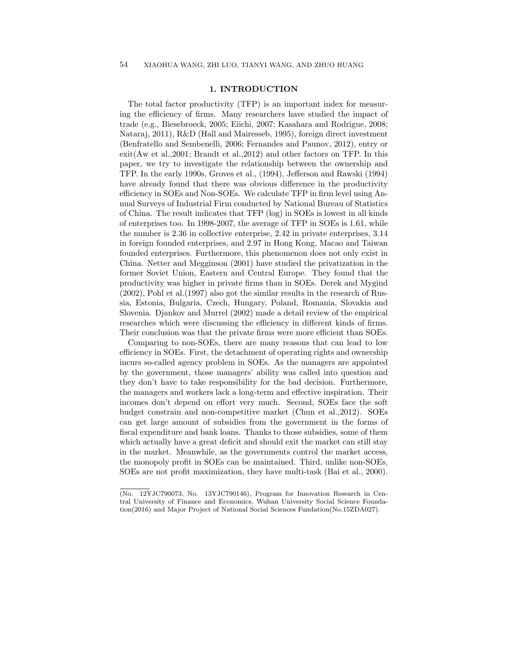# 1. INTRODUCTION

The total factor productivity (TFP) is an important index for measuring the efficiency of firms. Many researchers have studied the impact of trade (e.g., Biesebroeck, 2005; Eiichi, 2007; Kasahara and Rodrigue, 2008; Nataraj, 2011), R&D (Hall and Mairesseb, 1995), foreign direct investment (Benfratello and Sembenelli, 2006; Fernandes and Paunov, 2012), entry or exit(Aw et al.,2001; Brandt et al.,2012) and other factors on TFP. In this paper, we try to investigate the relationship between the ownership and TFP. In the early 1990s, Groves et al., (1994), Jefferson and Rawski (1994) have already found that there was obvious difference in the productivity efficiency in SOEs and Non-SOEs. We calculate TFP in firm level using Annual Surveys of Industrial Firm conducted by National Bureau of Statistics of China. The result indicates that TFP (log) in SOEs is lowest in all kinds of enterprises too. In 1998-2007, the average of TFP in SOEs is 1.61, while the number is 2.36 in collective enterprise, 2.42 in private enterprises, 3.14 in foreign founded enterprises, and 2.97 in Hong Kong, Macao and Taiwan founded enterprises. Furthermore, this phenomenon does not only exist in China. Netter and Megginson (2001) have studied the privatization in the former Soviet Union, Eastern and Central Europe. They found that the productivity was higher in private firms than in SOEs. Derek and Mygind (2002), Pohl et al.(1997) also got the similar results in the research of Russia, Estonia, Bulgaria, Czech, Hungary, Poland, Romania, Slovakia and Slovenia. Djankov and Murrel (2002) made a detail review of the empirical researches which were discussing the efficiency in different kinds of firms. Their conclusion was that the private firms were more efficient than SOEs.

Comparing to non-SOEs, there are many reasons that can lead to low efficiency in SOEs. First, the detachment of operating rights and ownership incurs so-called agency problem in SOEs. As the managers are appointed by the government, those managers' ability was called into question and they don't have to take responsibility for the bad decision. Furthermore, the managers and workers lack a long-term and effective inspiration. Their incomes don't depend on effort very much. Second, SOEs face the soft budget constrain and non-competitive market (Chun et al.,2012). SOEs can get large amount of subsidies from the government in the forms of fiscal expenditure and bank loans. Thanks to those subsidies, some of them which actually have a great deficit and should exit the market can still stay in the market. Meanwhile, as the governments control the market access, the monopoly profit in SOEs can be maintained. Third, unlike non-SOEs, SOEs are not profit maximization, they have multi-task (Bai et al., 2000).

<sup>(</sup>No. 12YJC790073, No. 13YJC790146), Program for Innovation Research in Central University of Finance and Economics, Wuhan University Social Science Foundation(2016) and Major Project of National Social Sciences Fundation(No.15ZDA027).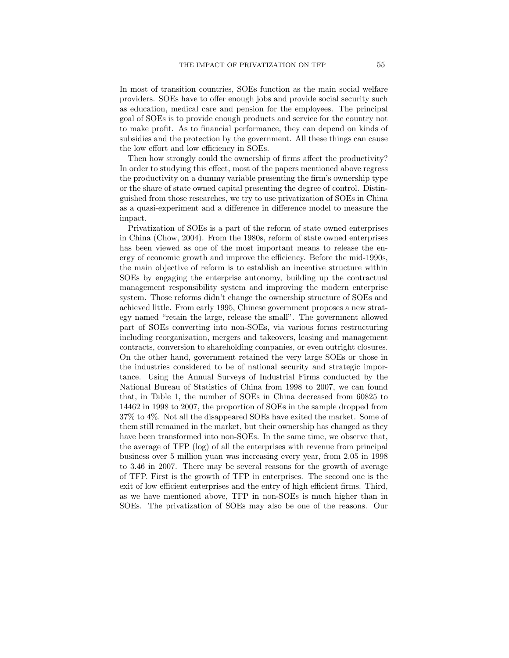In most of transition countries, SOEs function as the main social welfare providers. SOEs have to offer enough jobs and provide social security such as education, medical care and pension for the employees. The principal goal of SOEs is to provide enough products and service for the country not to make profit. As to financial performance, they can depend on kinds of subsidies and the protection by the government. All these things can cause the low effort and low efficiency in SOEs.

Then how strongly could the ownership of firms affect the productivity? In order to studying this effect, most of the papers mentioned above regress the productivity on a dummy variable presenting the firm's ownership type or the share of state owned capital presenting the degree of control. Distinguished from those researches, we try to use privatization of SOEs in China as a quasi-experiment and a difference in difference model to measure the impact.

Privatization of SOEs is a part of the reform of state owned enterprises in China (Chow, 2004). From the 1980s, reform of state owned enterprises has been viewed as one of the most important means to release the energy of economic growth and improve the efficiency. Before the mid-1990s, the main objective of reform is to establish an incentive structure within SOEs by engaging the enterprise autonomy, building up the contractual management responsibility system and improving the modern enterprise system. Those reforms didn't change the ownership structure of SOEs and achieved little. From early 1995, Chinese government proposes a new strategy named "retain the large, release the small". The government allowed part of SOEs converting into non-SOEs, via various forms restructuring including reorganization, mergers and takeovers, leasing and management contracts, conversion to shareholding companies, or even outright closures. On the other hand, government retained the very large SOEs or those in the industries considered to be of national security and strategic importance. Using the Annual Surveys of Industrial Firms conducted by the National Bureau of Statistics of China from 1998 to 2007, we can found that, in Table 1, the number of SOEs in China decreased from 60825 to 14462 in 1998 to 2007, the proportion of SOEs in the sample dropped from 37% to 4%. Not all the disappeared SOEs have exited the market. Some of them still remained in the market, but their ownership has changed as they have been transformed into non-SOEs. In the same time, we observe that, the average of TFP (log) of all the enterprises with revenue from principal business over 5 million yuan was increasing every year, from 2.05 in 1998 to 3.46 in 2007. There may be several reasons for the growth of average of TFP. First is the growth of TFP in enterprises. The second one is the exit of low efficient enterprises and the entry of high efficient firms. Third, as we have mentioned above, TFP in non-SOEs is much higher than in SOEs. The privatization of SOEs may also be one of the reasons. Our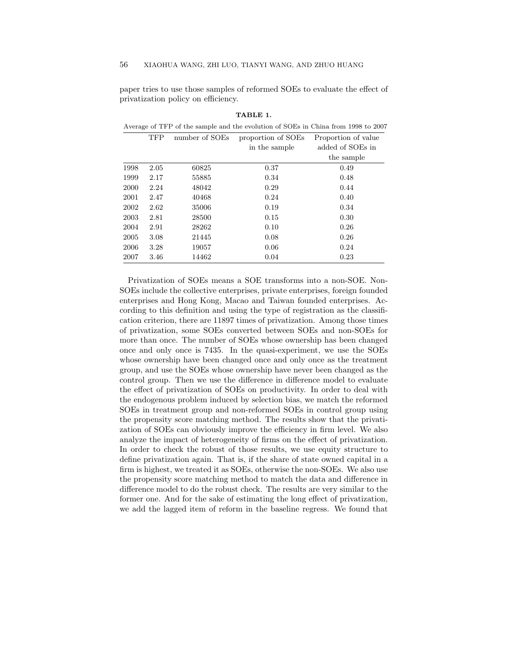paper tries to use those samples of reformed SOEs to evaluate the effect of privatization policy on efficiency.

|      | Average of TFP of the sample and the evolution of SOEs in China from 1998 to 2007 |                |                    |                     |  |  |  |
|------|-----------------------------------------------------------------------------------|----------------|--------------------|---------------------|--|--|--|
|      | <b>TFP</b>                                                                        | number of SOEs | proportion of SOEs | Proportion of value |  |  |  |
|      |                                                                                   |                | in the sample      | added of SOEs in    |  |  |  |
|      |                                                                                   |                |                    | the sample          |  |  |  |
| 1998 | 2.05                                                                              | 60825          | 0.37               | 0.49                |  |  |  |
| 1999 | 2.17                                                                              | 55885          | 0.34               | 0.48                |  |  |  |
| 2000 | 2.24                                                                              | 48042          | 0.29               | 0.44                |  |  |  |
| 2001 | 2.47                                                                              | 40468          | 0.24               | 0.40                |  |  |  |
| 2002 | 2.62                                                                              | 35006          | 0.19               | 0.34                |  |  |  |
| 2003 | 2.81                                                                              | 28500          | 0.15               | 0.30                |  |  |  |
| 2004 | 2.91                                                                              | 28262          | 0.10               | 0.26                |  |  |  |
| 2005 | 3.08                                                                              | 21445          | 0.08               | 0.26                |  |  |  |
| 2006 | 3.28                                                                              | 19057          | 0.06               | 0.24                |  |  |  |
| 2007 | 3.46                                                                              | 14462          | 0.04               | 0.23                |  |  |  |

TABLE 1.

Privatization of SOEs means a SOE transforms into a non-SOE. Non-SOEs include the collective enterprises, private enterprises, foreign founded enterprises and Hong Kong, Macao and Taiwan founded enterprises. According to this definition and using the type of registration as the classification criterion, there are 11897 times of privatization. Among those times of privatization, some SOEs converted between SOEs and non-SOEs for more than once. The number of SOEs whose ownership has been changed once and only once is 7435. In the quasi-experiment, we use the SOEs whose ownership have been changed once and only once as the treatment group, and use the SOEs whose ownership have never been changed as the control group. Then we use the difference in difference model to evaluate the effect of privatization of SOEs on productivity. In order to deal with the endogenous problem induced by selection bias, we match the reformed SOEs in treatment group and non-reformed SOEs in control group using the propensity score matching method. The results show that the privatization of SOEs can obviously improve the efficiency in firm level. We also analyze the impact of heterogeneity of firms on the effect of privatization. In order to check the robust of those results, we use equity structure to define privatization again. That is, if the share of state owned capital in a firm is highest, we treated it as SOEs, otherwise the non-SOEs. We also use the propensity score matching method to match the data and difference in difference model to do the robust check. The results are very similar to the former one. And for the sake of estimating the long effect of privatization, we add the lagged item of reform in the baseline regress. We found that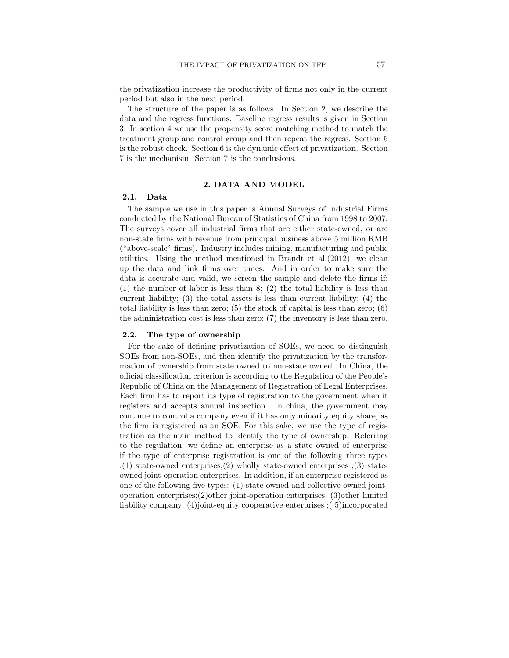the privatization increase the productivity of firms not only in the current period but also in the next period.

The structure of the paper is as follows. In Section 2, we describe the data and the regress functions. Baseline regress results is given in Section 3. In section 4 we use the propensity score matching method to match the treatment group and control group and then repeat the regress. Section 5 is the robust check. Section 6 is the dynamic effect of privatization. Section 7 is the mechanism. Section 7 is the conclusions.

### 2. DATA AND MODEL

## 2.1. Data

The sample we use in this paper is Annual Surveys of Industrial Firms conducted by the National Bureau of Statistics of China from 1998 to 2007. The surveys cover all industrial firms that are either state-owned, or are non-state firms with revenue from principal business above 5 million RMB ("above-scale" firms). Industry includes mining, manufacturing and public utilities. Using the method mentioned in Brandt et al.  $(2012)$ , we clean up the data and link firms over times. And in order to make sure the data is accurate and valid, we screen the sample and delete the firms if: (1) the number of labor is less than 8; (2) the total liability is less than current liability;  $(3)$  the total assets is less than current liability;  $(4)$  the total liability is less than zero;  $(5)$  the stock of capital is less than zero;  $(6)$ the administration cost is less than zero; (7) the inventory is less than zero.

### 2.2. The type of ownership

For the sake of defining privatization of SOEs, we need to distinguish SOEs from non-SOEs, and then identify the privatization by the transformation of ownership from state owned to non-state owned. In China, the official classification criterion is according to the Regulation of the People's Republic of China on the Management of Registration of Legal Enterprises. Each firm has to report its type of registration to the government when it registers and accepts annual inspection. In china, the government may continue to control a company even if it has only minority equity share, as the firm is registered as an SOE. For this sake, we use the type of registration as the main method to identify the type of ownership. Referring to the regulation, we define an enterprise as a state owned of enterprise if the type of enterprise registration is one of the following three types :(1) state-owned enterprises;(2) wholly state-owned enterprises ;(3) stateowned joint-operation enterprises. In addition, if an enterprise registered as one of the following five types: (1) state-owned and collective-owned jointoperation enterprises; $(2)$ other joint-operation enterprises;  $(3)$ other limited liability company; (4)joint-equity cooperative enterprises ;( 5)incorporated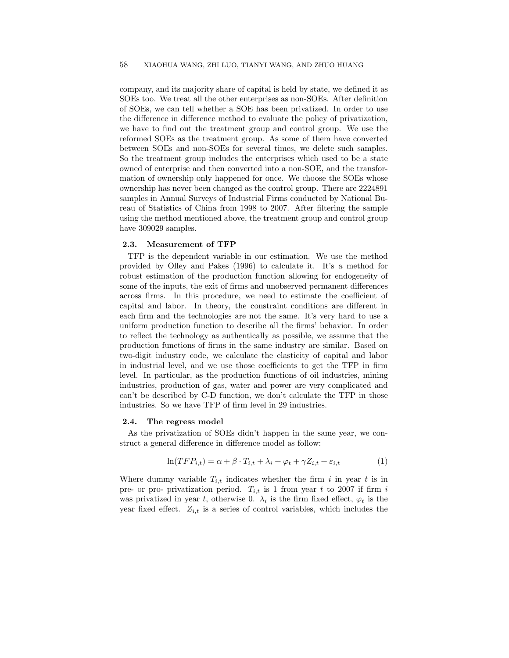company, and its majority share of capital is held by state, we defined it as SOEs too. We treat all the other enterprises as non-SOEs. After definition of SOEs, we can tell whether a SOE has been privatized. In order to use the difference in difference method to evaluate the policy of privatization, we have to find out the treatment group and control group. We use the reformed SOEs as the treatment group. As some of them have converted between SOEs and non-SOEs for several times, we delete such samples. So the treatment group includes the enterprises which used to be a state owned of enterprise and then converted into a non-SOE, and the transformation of ownership only happened for once. We choose the SOEs whose ownership has never been changed as the control group. There are 2224891 samples in Annual Surveys of Industrial Firms conducted by National Bureau of Statistics of China from 1998 to 2007. After filtering the sample using the method mentioned above, the treatment group and control group have 309029 samples.

## 2.3. Measurement of TFP

TFP is the dependent variable in our estimation. We use the method provided by Olley and Pakes (1996) to calculate it. It's a method for robust estimation of the production function allowing for endogeneity of some of the inputs, the exit of firms and unobserved permanent differences across firms. In this procedure, we need to estimate the coefficient of capital and labor. In theory, the constraint conditions are different in each firm and the technologies are not the same. It's very hard to use a uniform production function to describe all the firms' behavior. In order to reflect the technology as authentically as possible, we assume that the production functions of firms in the same industry are similar. Based on two-digit industry code, we calculate the elasticity of capital and labor in industrial level, and we use those coefficients to get the TFP in firm level. In particular, as the production functions of oil industries, mining industries, production of gas, water and power are very complicated and can't be described by C-D function, we don't calculate the TFP in those industries. So we have TFP of firm level in 29 industries.

#### 2.4. The regress model

As the privatization of SOEs didn't happen in the same year, we construct a general difference in difference model as follow:

$$
\ln(TFP_{i,t}) = \alpha + \beta \cdot T_{i,t} + \lambda_i + \varphi_t + \gamma Z_{i,t} + \varepsilon_{i,t} \tag{1}
$$

Where dummy variable  $T_{i,t}$  indicates whether the firm i in year t is in pre- or pro- privatization period.  $T_{i,t}$  is 1 from year t to 2007 if firm i was privatized in year t, otherwise 0.  $\lambda_i$  is the firm fixed effect,  $\varphi_t$  is the year fixed effect.  $Z_{i,t}$  is a series of control variables, which includes the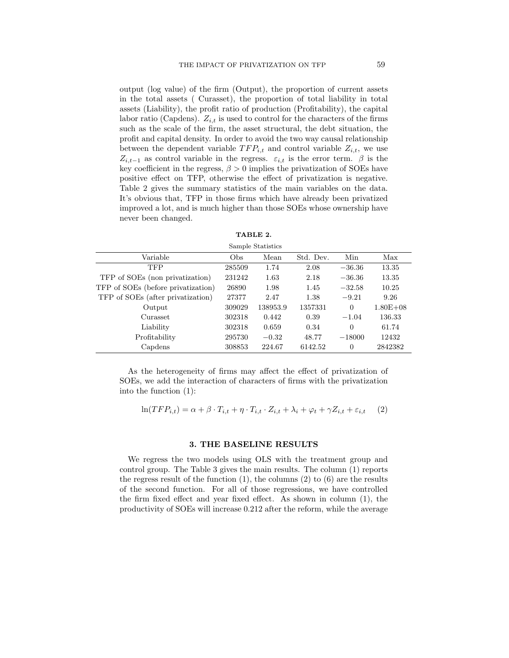output (log value) of the firm (Output), the proportion of current assets in the total assets ( Curasset), the proportion of total liability in total assets (Liability), the profit ratio of production (Profitability), the capital labor ratio (Capdens).  $Z_{i,t}$  is used to control for the characters of the firms such as the scale of the firm, the asset structural, the debt situation, the profit and capital density. In order to avoid the two way causal relationship between the dependent variable  $TFP_{i,t}$  and control variable  $Z_{i,t}$ , we use  $Z_{i,t-1}$  as control variable in the regress.  $\varepsilon_{i,t}$  is the error term.  $\beta$  is the key coefficient in the regress,  $\beta > 0$  implies the privatization of SOEs have positive effect on TFP, otherwise the effect of privatization is negative. Table 2 gives the summary statistics of the main variables on the data. It's obvious that, TFP in those firms which have already been privatized improved a lot, and is much higher than those SOEs whose ownership have never been changed.

| Sample Statistics                  |        |          |           |                |              |  |
|------------------------------------|--------|----------|-----------|----------------|--------------|--|
| Variable                           | Obs    | Mean     | Std. Dev. | Min            | Max          |  |
| <b>TFP</b>                         | 285509 | 1.74     | 2.08      | $-36.36$       | 13.35        |  |
| TFP of SOEs (non privatization)    | 231242 | 1.63     | 2.18      | $-36.36$       | 13.35        |  |
| TFP of SOEs (before privatization) | 26890  | 1.98     | 1.45      | $-32.58$       | 10.25        |  |
| TFP of SOEs (after privatization)  | 27377  | 2.47     | 1.38      | $-9.21$        | 9.26         |  |
| Output                             | 309029 | 138953.9 | 1357331   | $\Omega$       | $1.80E + 08$ |  |
| Curasset                           | 302318 | 0.442    | 0.39      | $-1.04$        | 136.33       |  |
| Liability                          | 302318 | 0.659    | 0.34      | $\Omega$       | 61.74        |  |
| Profitability                      | 295730 | $-0.32$  | 48.77     | $-18000$       | 12432        |  |
| Capdens                            | 308853 | 224.67   | 6142.52   | $\overline{0}$ | 2842382      |  |

TABLE 2.

As the heterogeneity of firms may affect the effect of privatization of SOEs, we add the interaction of characters of firms with the privatization into the function (1):

$$
\ln(TFP_{i,t}) = \alpha + \beta \cdot T_{i,t} + \eta \cdot T_{i,t} \cdot Z_{i,t} + \lambda_i + \varphi_t + \gamma Z_{i,t} + \varepsilon_{i,t} \tag{2}
$$

#### 3. THE BASELINE RESULTS

We regress the two models using OLS with the treatment group and control group. The Table 3 gives the main results. The column (1) reports the regress result of the function  $(1)$ , the columns  $(2)$  to  $(6)$  are the results of the second function. For all of those regressions, we have controlled the firm fixed effect and year fixed effect. As shown in column (1), the productivity of SOEs will increase 0.212 after the reform, while the average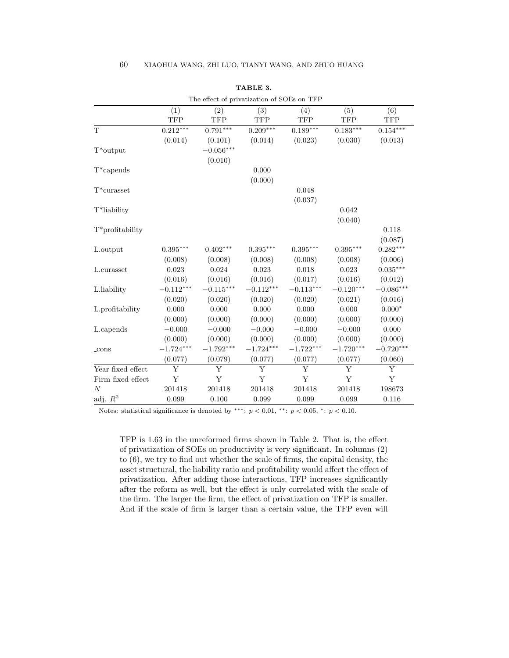| The effect of privatization of SOEs on TFP |             |             |             |             |             |             |
|--------------------------------------------|-------------|-------------|-------------|-------------|-------------|-------------|
|                                            | (1)         | (2)         | (3)         | (4)         | (5)         | (6)         |
|                                            | <b>TFP</b>  | <b>TFP</b>  | <b>TFP</b>  | <b>TFP</b>  | <b>TFP</b>  | TFP         |
| T                                          | $0.212***$  | $0.791***$  | $0.209***$  | $0.189***$  | $0.183***$  | $0.154***$  |
|                                            | (0.014)     | (0.101)     | (0.014)     | (0.023)     | (0.030)     | (0.013)     |
| $T^*$ output                               |             | $-0.056***$ |             |             |             |             |
|                                            |             | (0.010)     |             |             |             |             |
| $T^*$ capends                              |             |             | 0.000       |             |             |             |
|                                            |             |             | (0.000)     |             |             |             |
| $T^*$ curasset                             |             |             |             | 0.048       |             |             |
|                                            |             |             |             | (0.037)     |             |             |
| T*liability                                |             |             |             |             | 0.042       |             |
|                                            |             |             |             |             | (0.040)     |             |
| T*profitability                            |             |             |             |             |             | 0.118       |
|                                            |             |             |             |             |             | (0.087)     |
| L.output                                   | $0.395***$  | $0.402***$  | $0.395***$  | $0.395***$  | $0.395***$  | $0.282***$  |
|                                            | (0.008)     | (0.008)     | (0.008)     | (0.008)     | (0.008)     | (0.006)     |
| L.curasset                                 | 0.023       | 0.024       | 0.023       | 0.018       | 0.023       | $0.035***$  |
|                                            | (0.016)     | (0.016)     | (0.016)     | (0.017)     | (0.016)     | (0.012)     |
| L.liability                                | $-0.112***$ | $-0.115***$ | $-0.112***$ | $-0.113***$ | $-0.120***$ | $-0.086***$ |
|                                            | (0.020)     | (0.020)     | (0.020)     | (0.020)     | (0.021)     | (0.016)     |
| L.profitability                            | 0.000       | 0.000       | 0.000       | 0.000       | 0.000       | $0.000*$    |
|                                            | (0.000)     | (0.000)     | (0.000)     | (0.000)     | (0.000)     | (0.000)     |
| L.capends                                  | $-0.000$    | $-0.000$    | $-0.000$    | $-0.000$    | $-0.000$    | 0.000       |
|                                            | (0.000)     | (0.000)     | (0.000)     | (0.000)     | (0.000)     | (0.000)     |
| $_{\rm cons}$                              | $-1.724***$ | $-1.792***$ | $-1.724***$ | $-1.722***$ | $-1.720***$ | $-0.720***$ |
|                                            | (0.077)     | (0.079)     | (0.077)     | (0.077)     | (0.077)     | (0.060)     |
| Year fixed effect                          | Y           | Y           | Y           | Y           | Y           | Y           |
| Firm fixed effect                          | Y           | Y           | Y           | Y           | Y           | $\mathbf Y$ |
| $\boldsymbol{N}$                           | 201418      | 201418      | 201418      | 201418      | 201418      | 198673      |
| adj. $R^2$                                 | 0.099       | 0.100       | 0.099       | 0.099       | 0.099       | 0.116       |

| TABLE 3. |  |
|----------|--|
|----------|--|

Notes: statistical significance is denoted by \*\*\*:  $p < 0.01$ , \*\*:  $p < 0.05$ , \*:  $p < 0.10$ .

TFP is 1.63 in the unreformed firms shown in Table 2. That is, the effect of privatization of SOEs on productivity is very significant. In columns (2) to (6), we try to find out whether the scale of firms, the capital density, the asset structural, the liability ratio and profitability would affect the effect of privatization. After adding those interactions, TFP increases significantly after the reform as well, but the effect is only correlated with the scale of the firm. The larger the firm, the effect of privatization on TFP is smaller. And if the scale of firm is larger than a certain value, the TFP even will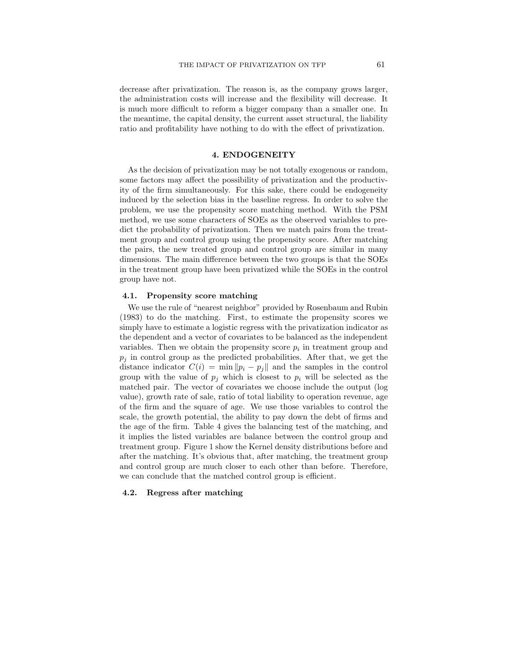decrease after privatization. The reason is, as the company grows larger, the administration costs will increase and the flexibility will decrease. It is much more difficult to reform a bigger company than a smaller one. In the meantime, the capital density, the current asset structural, the liability ratio and profitability have nothing to do with the effect of privatization.

# 4. ENDOGENEITY

As the decision of privatization may be not totally exogenous or random, some factors may affect the possibility of privatization and the productivity of the firm simultaneously. For this sake, there could be endogeneity induced by the selection bias in the baseline regress. In order to solve the problem, we use the propensity score matching method. With the PSM method, we use some characters of SOEs as the observed variables to predict the probability of privatization. Then we match pairs from the treatment group and control group using the propensity score. After matching the pairs, the new treated group and control group are similar in many dimensions. The main difference between the two groups is that the SOEs in the treatment group have been privatized while the SOEs in the control group have not.

# 4.1. Propensity score matching

We use the rule of "nearest neighbor" provided by Rosenbaum and Rubin (1983) to do the matching. First, to estimate the propensity scores we simply have to estimate a logistic regress with the privatization indicator as the dependent and a vector of covariates to be balanced as the independent variables. Then we obtain the propensity score  $p_i$  in treatment group and  $p_i$  in control group as the predicted probabilities. After that, we get the distance indicator  $C(i) = \min \|p_i - p_j\|$  and the samples in the control group with the value of  $p_i$  which is closest to  $p_i$  will be selected as the matched pair. The vector of covariates we choose include the output (log value), growth rate of sale, ratio of total liability to operation revenue, age of the firm and the square of age. We use those variables to control the scale, the growth potential, the ability to pay down the debt of firms and the age of the firm. Table 4 gives the balancing test of the matching, and it implies the listed variables are balance between the control group and treatment group. Figure 1 show the Kernel density distributions before and after the matching. It's obvious that, after matching, the treatment group and control group are much closer to each other than before. Therefore, we can conclude that the matched control group is efficient.

## 4.2. Regress after matching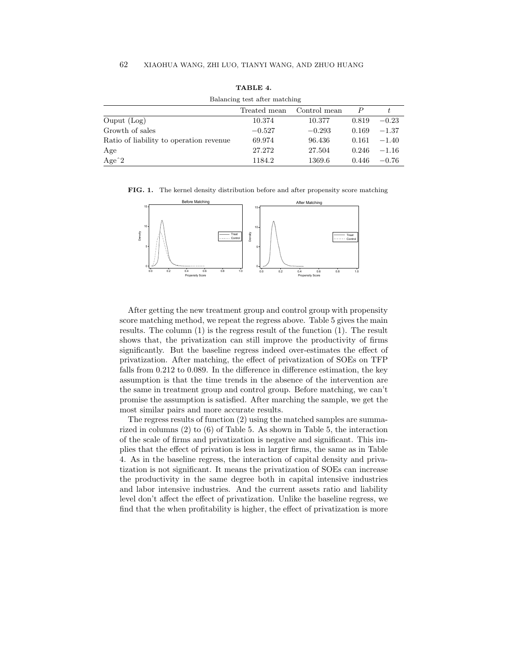| Balancing test after matching           |              |              |       |         |
|-----------------------------------------|--------------|--------------|-------|---------|
|                                         | Treated mean | Control mean |       |         |
| $O$ uput $(Log)$                        | 10.374       | 10.377       | 0.819 | $-0.23$ |
| Growth of sales                         | $-0.527$     | $-0.293$     | 0.169 | $-1.37$ |
| Ratio of liability to operation revenue | 69.974       | 96.436       | 0.161 | $-1.40$ |
| Age                                     | 27.272       | 27.504       | 0.246 | $-1.16$ |
| Age $2$                                 | 1184.2       | 1369.6       | 0.446 | $-0.76$ |

TABLE 4.  $\text{test}$  ofter

FIG. 1. The kernel density distribution before and after propensity score matching



After getting the new treatment group and control group with propensity score matching method, we repeat the regress above. Table 5 gives the main results. The column (1) is the regress result of the function (1). The result shows that, the privatization can still improve the productivity of firms significantly. But the baseline regress indeed over-estimates the effect of privatization. After matching, the effect of privatization of SOEs on TFP falls from 0.212 to 0.089. In the difference in difference estimation, the key assumption is that the time trends in the absence of the intervention are the same in treatment group and control group. Before matching, we can't promise the assumption is satisfied. After marching the sample, we get the most similar pairs and more accurate results.

The regress results of function (2) using the matched samples are summarized in columns (2) to (6) of Table 5. As shown in Table 5, the interaction of the scale of firms and privatization is negative and significant. This implies that the effect of privation is less in larger firms, the same as in Table 4. As in the baseline regress, the interaction of capital density and privatization is not significant. It means the privatization of SOEs can increase the productivity in the same degree both in capital intensive industries and labor intensive industries. And the current assets ratio and liability level don't affect the effect of privatization. Unlike the baseline regress, we find that the when profitability is higher, the effect of privatization is more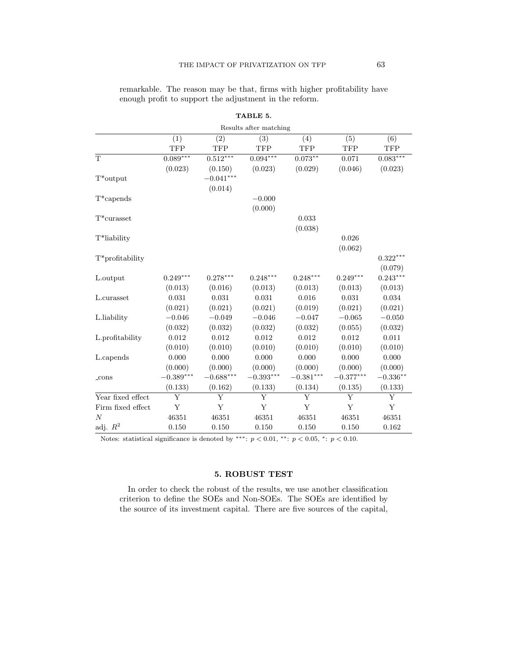| Results after matching |             |                   |                   |             |             |            |
|------------------------|-------------|-------------------|-------------------|-------------|-------------|------------|
|                        | (1)         | $\left( 2\right)$ | $\left( 3\right)$ | (4)         | (5)         | (6)        |
|                        | <b>TFP</b>  | <b>TFP</b>        | <b>TFP</b>        | TFP         | <b>TFP</b>  | <b>TFP</b> |
| T                      | $0.089***$  | $0.512***$        | $0.094***$        | $0.073***$  | 0.071       | $0.083***$ |
|                        | (0.023)     | (0.150)           | (0.023)           | (0.029)     | (0.046)     | (0.023)    |
| $T^*$ output           |             | $-0.041***$       |                   |             |             |            |
|                        |             | (0.014)           |                   |             |             |            |
| $T^*$ capends          |             |                   | $-0.000$          |             |             |            |
|                        |             |                   | (0.000)           |             |             |            |
| $T^*$ curasset         |             |                   |                   | 0.033       |             |            |
|                        |             |                   |                   | (0.038)     |             |            |
| T*liability            |             |                   |                   |             | 0.026       |            |
|                        |             |                   |                   |             | (0.062)     |            |
| $T^*$ profitability    |             |                   |                   |             |             | $0.322***$ |
|                        |             |                   |                   |             |             | (0.079)    |
| L.output               | $0.249***$  | $0.278***$        | $0.248***$        | $0.248***$  | $0.249***$  | $0.243***$ |
|                        | (0.013)     | (0.016)           | (0.013)           | (0.013)     | (0.013)     | (0.013)    |
| L.curasset             | 0.031       | 0.031             | 0.031             | 0.016       | 0.031       | 0.034      |
|                        | (0.021)     | (0.021)           | (0.021)           | (0.019)     | (0.021)     | (0.021)    |
| L.liability            | $-0.046$    | $-0.049$          | $-0.046$          | $-0.047$    | $-0.065$    | $-0.050$   |
|                        | (0.032)     | (0.032)           | (0.032)           | (0.032)     | (0.055)     | (0.032)    |
| L.profitability        | 0.012       | 0.012             | 0.012             | $\,0.012\,$ | 0.012       | 0.011      |
|                        | (0.010)     | (0.010)           | (0.010)           | (0.010)     | (0.010)     | (0.010)    |
| L.capends              | 0.000       | 0.000             | 0.000             | 0.000       | 0.000       | 0.000      |
|                        | (0.000)     | (0.000)           | (0.000)           | (0.000)     | (0.000)     | (0.000)    |
| $_{\rm cons}$          | $-0.389***$ | $-0.688***$       | $-0.393***$       | $-0.381***$ | $-0.377***$ | $-0.336**$ |
|                        | (0.133)     | (0.162)           | (0.133)           | (0.134)     | (0.135)     | (0.133)    |
| Year fixed effect      | Y           | Y                 | Y                 | Y           | Y           | Y          |
| Firm fixed effect      | Y           | Y                 | Y                 | Y           | Y           | Y          |
| $\overline{N}$         | 46351       | 46351             | 46351             | 46351       | 46351       | 46351      |
| adj. $R^2$             | 0.150       | 0.150             | 0.150             | 0.150       | 0.150       | 0.162      |

remarkable. The reason may be that, firms with higher profitability have enough profit to support the adjustment in the reform.

TABLE 5.

Notes: statistical significance is denoted by \*\*\*:  $p < 0.01$ , \*\*:  $p < 0.05$ , \*:  $p < 0.10$ .

# 5. ROBUST TEST

In order to check the robust of the results, we use another classification criterion to define the SOEs and Non-SOEs. The SOEs are identified by the source of its investment capital. There are five sources of the capital,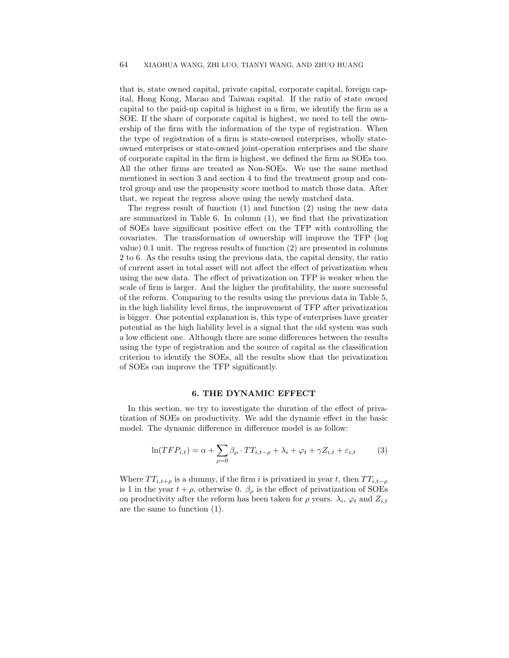that is, state owned capital, private capital, corporate capital, foreign capital, Hong Kong, Macao and Taiwan capital. If the ratio of state owned capital to the paid-up capital is highest in a firm, we identify the firm as a SOE. If the share of corporate capital is highest, we need to tell the ownership of the firm with the information of the type of registration. When the type of registration of a firm is state-owned enterprises, wholly stateowned enterprises or state-owned joint-operation enterprises and the share of corporate capital in the firm is highest, we defined the firm as SOEs too. All the other firms are treated as Non-SOEs. We use the same method mentioned in section 3 and section 4 to find the treatment group and control group and use the propensity score method to match those data. After that, we repeat the regress above using the newly matched data.

The regress result of function (1) and function (2) using the new data are summarized in Table 6. In column (1), we find that the privatization of SOEs have significant positive effect on the TFP with controlling the covariates. The transformation of ownership will improve the TFP (log value) 0.1 unit. The regress results of function (2) are presented in columns 2 to 6. As the results using the previous data, the capital density, the ratio of current asset in total asset will not affect the effect of privatization when using the new data. The effect of privatization on TFP is weaker when the scale of firm is larger. And the higher the profitability, the more successful of the reform. Comparing to the results using the previous data in Table 5, in the high liability level firms, the improvement of TFP after privatization is bigger. One potential explanation is, this type of enterprises have greater potential as the high liability level is a signal that the old system was such a low efficient one. Although there are some differences between the results using the type of registration and the source of capital as the classification criterion to identify the SOEs, all the results show that the privatization of SOEs can improve the TFP significantly.

# 6. THE DYNAMIC EFFECT

In this section, we try to investigate the duration of the effect of privatization of SOEs on productivity. We add the dynamic effect in the basic model. The dynamic difference in difference model is as follow:

$$
\ln(TFP_{i,t}) = \alpha + \sum_{\rho=0} \beta_{\rho} \cdot TT_{i,t-\rho} + \lambda_i + \varphi_t + \gamma Z_{i,t} + \varepsilon_{i,t} \tag{3}
$$

Where  $TT_{i,t+\rho}$  is a dummy, if the firm i is privatized in year t, then  $TT_{i,t-\rho}$ is 1 in the year  $t + \rho$ , otherwise 0.  $\beta_{\rho}$  is the effect of privatization of SOEs on productivity after the reform has been taken for  $\rho$  years.  $\lambda_i$ ,  $\varphi_t$  and  $Z_{i,t}$ are the same to function (1).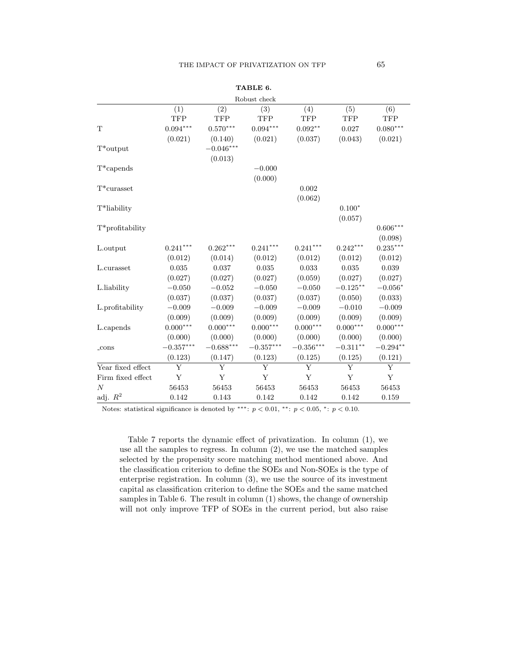|                   |                        |                        | Robust check           |                    |             |                        |
|-------------------|------------------------|------------------------|------------------------|--------------------|-------------|------------------------|
|                   | (1)                    | (2)                    | (3)                    | (4)                | (5)         | (6)                    |
|                   | <b>TFP</b>             | <b>TFP</b>             | <b>TFP</b>             | <b>TFP</b>         | <b>TFP</b>  | TFP                    |
| $\mathbf T$       | $0.094^{\ast\ast\ast}$ | $0.570^{\ast\ast\ast}$ | $0.094^{\ast\ast\ast}$ | $0.092^{\ast\ast}$ | 0.027       | $0.080^{\ast\ast\ast}$ |
|                   | (0.021)                | (0.140)                | (0.021)                | (0.037)            | (0.043)     | (0.021)                |
| $T^*$ output      |                        | $-0.046***$            |                        |                    |             |                        |
|                   |                        | (0.013)                |                        |                    |             |                        |
| $T^*$ capends     |                        |                        | $-0.000$               |                    |             |                        |
|                   |                        |                        | (0.000)                |                    |             |                        |
| $T^*$ curasset    |                        |                        |                        | 0.002              |             |                        |
|                   |                        |                        |                        | (0.062)            |             |                        |
| T*liability       |                        |                        |                        |                    | $0.100*$    |                        |
|                   |                        |                        |                        |                    | (0.057)     |                        |
| T*profitability   |                        |                        |                        |                    |             | $0.606***$             |
|                   |                        |                        |                        |                    |             | (0.098)                |
| L.output          | $0.241***$             | $0.262***$             | $0.241***$             | $0.241***$         | $0.242***$  | $0.235***$             |
|                   | (0.012)                | (0.014)                | (0.012)                | (0.012)            | (0.012)     | (0.012)                |
| L.curasset        | $\,0.035\,$            | 0.037                  | $\,0.035\,$            | $\,0.033\,$        | $\,0.035\,$ | 0.039                  |
|                   | (0.027)                | (0.027)                | (0.027)                | (0.059)            | (0.027)     | (0.027)                |
| L.liability       | $-0.050$               | $-0.052$               | $-0.050$               | $-0.050$           | $-0.125***$ | $-0.056*$              |
|                   | (0.037)                | (0.037)                | (0.037)                | (0.037)            | (0.050)     | (0.033)                |
| L.profitability   | $-0.009$               | $-0.009$               | $-0.009$               | $-0.009$           | $-0.010$    | $-0.009$               |
|                   | (0.009)                | (0.009)                | (0.009)                | (0.009)            | (0.009)     | (0.009)                |
| L.capends         | $0.000***$             | $0.000***$             | $0.000***$             | $0.000***$         | $0.000***$  | $0.000***$             |
|                   | (0.000)                | (0.000)                | (0.000)                | (0.000)            | (0.000)     | (0.000)                |
| $_{\rm cons}$     | $-0.357***$            | $-0.688***$            | $-0.357***$            | $-0.356***$        | $-0.311**$  | $-0.294**$             |
|                   | (0.123)                | (0.147)                | (0.123)                | (0.125)            | (0.125)     | (0.121)                |
| Year fixed effect | Y                      | Y                      | Y                      | Y                  | Y           | Y                      |
| Firm fixed effect | Y                      | Y                      | Y                      | Y                  | Y           | Y                      |
| $\boldsymbol{N}$  | 56453                  | 56453                  | 56453                  | 56453              | 56453       | 56453                  |
| adj. $R^2$        | 0.142                  | 0.143                  | 0.142                  | 0.142              | 0.142       | 0.159                  |

TABLE 6.

Notes: statistical significance is denoted by \*\*\*:  $p < 0.01$ , \*\*:  $p < 0.05$ , \*:  $p < 0.10$ .

Table 7 reports the dynamic effect of privatization. In column (1), we use all the samples to regress. In column (2), we use the matched samples selected by the propensity score matching method mentioned above. And the classification criterion to define the SOEs and Non-SOEs is the type of enterprise registration. In column (3), we use the source of its investment capital as classification criterion to define the SOEs and the same matched samples in Table 6. The result in column (1) shows, the change of ownership will not only improve TFP of SOEs in the current period, but also raise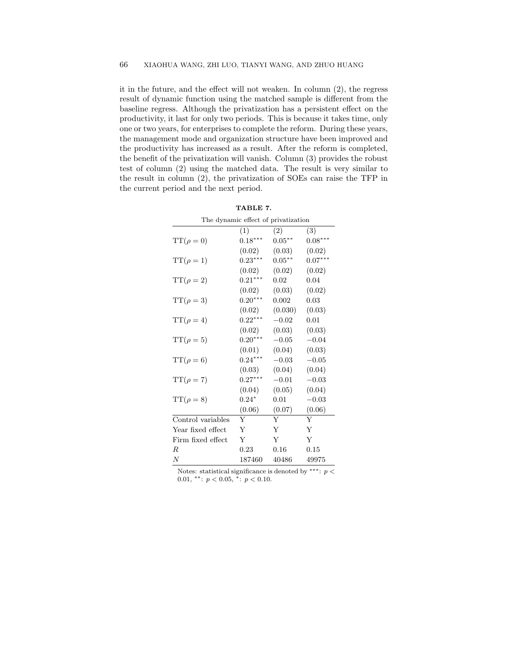it in the future, and the effect will not weaken. In column (2), the regress result of dynamic function using the matched sample is different from the baseline regress. Although the privatization has a persistent effect on the productivity, it last for only two periods. This is because it takes time, only one or two years, for enterprises to complete the reform. During these years, the management mode and organization structure have been improved and the productivity has increased as a result. After the reform is completed, the benefit of the privatization will vanish. Column (3) provides the robust test of column (2) using the matched data. The result is very similar to the result in column (2), the privatization of SOEs can raise the TFP in the current period and the next period.

| The dynamic effect of privatization |           |           |           |  |  |
|-------------------------------------|-----------|-----------|-----------|--|--|
|                                     | (1)       | (2)       | (3)       |  |  |
| $TT(\rho = 0)$                      | $0.18***$ | $0.05***$ | $0.08***$ |  |  |
|                                     | (0.02)    | (0.03)    | (0.02)    |  |  |
| $TT(\rho = 1)$                      | $0.23***$ | $0.05***$ | $0.07***$ |  |  |
|                                     | (0.02)    | (0.02)    | (0.02)    |  |  |
| $TT(\rho=2)$                        | $0.21***$ | 0.02      | 0.04      |  |  |
|                                     | (0.02)    | (0.03)    | (0.02)    |  |  |
| $TT(\rho=3)$                        | $0.20***$ | 0.002     | 0.03      |  |  |
|                                     | (0.02)    | (0.030)   | (0.03)    |  |  |
| $TT(\rho=4)$                        | $0.22***$ | $-0.02$   | 0.01      |  |  |
|                                     | (0.02)    | (0.03)    | (0.03)    |  |  |
| $TT(\rho=5)$                        | $0.20***$ | $-0.05$   | $-0.04$   |  |  |
|                                     | (0.01)    | (0.04)    | (0.03)    |  |  |
| $TT(\rho = 6)$                      | $0.24***$ | $-0.03$   | $-0.05$   |  |  |
|                                     | (0.03)    | (0.04)    | (0.04)    |  |  |
| $TT(\rho = 7)$                      | $0.27***$ | $-0.01$   | $-0.03$   |  |  |
|                                     | (0.04)    | (0.05)    | (0.04)    |  |  |
| $TT(\rho = 8)$                      | $0.24*$   | 0.01      | $-0.03$   |  |  |
|                                     | (0.06)    | (0.07)    | (0.06)    |  |  |
| Control variables                   | Υ         | Y         | Y         |  |  |
| Year fixed effect                   | Y         | Y         | Y         |  |  |
| Firm fixed effect                   | Υ         | Υ         | Υ         |  |  |
| R                                   | 0.23      | 0.16      | 0.15      |  |  |
| $\overline{N}$                      | 187460    | 40486     | 49975     |  |  |

TABLE 7.

Notes: statistical significance is denoted by \*\*\*:  $p <$ 0.01, \*\*:  $p < 0.05$ , \*:  $p < 0.10$ .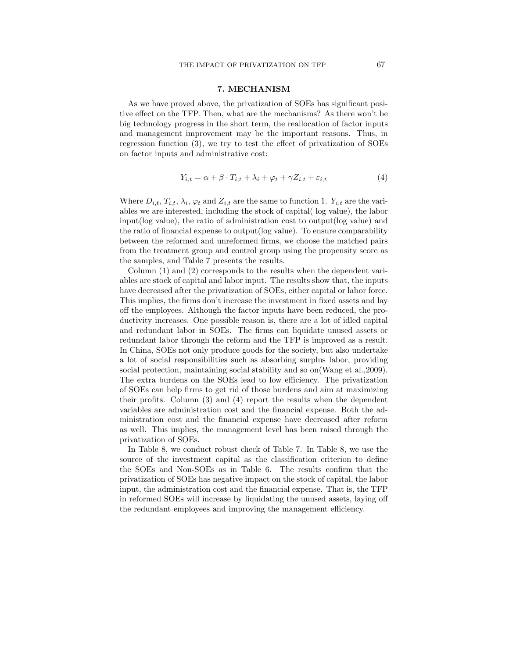### 7. MECHANISM

As we have proved above, the privatization of SOEs has significant positive effect on the TFP. Then, what are the mechanisms? As there won't be big technology progress in the short term, the reallocation of factor inputs and management improvement may be the important reasons. Thus, in regression function (3), we try to test the effect of privatization of SOEs on factor inputs and administrative cost:

$$
Y_{i,t} = \alpha + \beta \cdot T_{i,t} + \lambda_i + \varphi_t + \gamma Z_{i,t} + \varepsilon_{i,t}
$$
\n
$$
\tag{4}
$$

Where  $D_{i,t}$ ,  $T_{i,t}$ ,  $\lambda_i$ ,  $\varphi_t$  and  $Z_{i,t}$  are the same to function 1.  $Y_{i,t}$  are the variables we are interested, including the stock of capital( log value), the labor input(log value), the ratio of administration cost to output(log value) and the ratio of financial expense to output(log value). To ensure comparability between the reformed and unreformed firms, we choose the matched pairs from the treatment group and control group using the propensity score as the samples, and Table 7 presents the results.

Column (1) and (2) corresponds to the results when the dependent variables are stock of capital and labor input. The results show that, the inputs have decreased after the privatization of SOEs, either capital or labor force. This implies, the firms don't increase the investment in fixed assets and lay off the employees. Although the factor inputs have been reduced, the productivity increases. One possible reason is, there are a lot of idled capital and redundant labor in SOEs. The firms can liquidate unused assets or redundant labor through the reform and the TFP is improved as a result. In China, SOEs not only produce goods for the society, but also undertake a lot of social responsibilities such as absorbing surplus labor, providing social protection, maintaining social stability and so on(Wang et al.,2009). The extra burdens on the SOEs lead to low efficiency. The privatization of SOEs can help firms to get rid of those burdens and aim at maximizing their profits. Column (3) and (4) report the results when the dependent variables are administration cost and the financial expense. Both the administration cost and the financial expense have decreased after reform as well. This implies, the management level has been raised through the privatization of SOEs.

In Table 8, we conduct robust check of Table 7. In Table 8, we use the source of the investment capital as the classification criterion to define the SOEs and Non-SOEs as in Table 6. The results confirm that the privatization of SOEs has negative impact on the stock of capital, the labor input, the administration cost and the financial expense. That is, the TFP in reformed SOEs will increase by liquidating the unused assets, laying off the redundant employees and improving the management efficiency.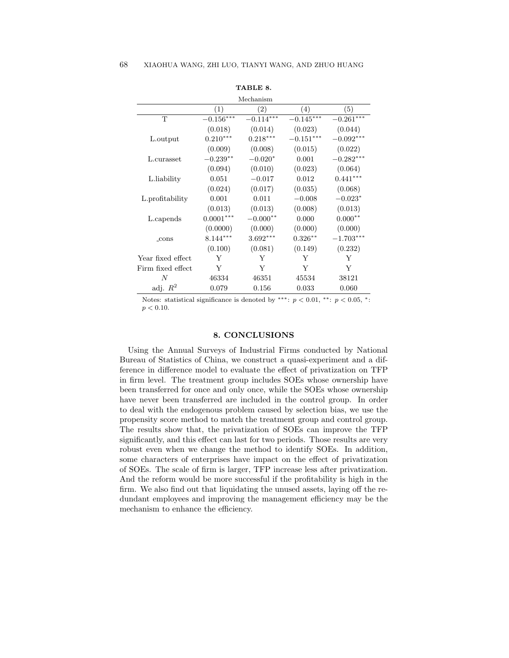|                   |             | Mechanism   |             |                  |
|-------------------|-------------|-------------|-------------|------------------|
|                   | (1)         | $^{'}2)$    | (4)         | $\left(5\right)$ |
| T                 | $-0.156***$ | $-0.114***$ | $-0.145***$ | $-0.261***$      |
|                   | (0.018)     | (0.014)     | (0.023)     | (0.044)          |
| L.output          | $0.210***$  | $0.218***$  | $-0.151***$ | $-0.092***$      |
|                   | (0.009)     | (0.008)     | (0.015)     | (0.022)          |
| L.curasset        | $-0.239**$  | $-0.020*$   | 0.001       | $-0.282***$      |
|                   | (0.094)     | (0.010)     | (0.023)     | (0.064)          |
| L.liability       | 0.051       | $-0.017$    | 0.012       | $0.441***$       |
|                   | (0.024)     | (0.017)     | (0.035)     | (0.068)          |
| L.profitability   | 0.001       | 0.011       | $-0.008$    | $-0.023*$        |
|                   | (0.013)     | (0.013)     | (0.008)     | (0.013)          |
| L.capends         | $0.0001***$ | $-0.000**$  | 0.000       | $0.000**$        |
|                   | (0.0000)    | (0.000)     | (0.000)     | (0.000)          |
| $_{\rm -cons}$    | $8.144***$  | $3.692***$  | $0.326***$  | $-1.703***$      |
|                   | (0.100)     | (0.081)     | (0.149)     | (0.232)          |
| Year fixed effect | Y           | Y           | Y           | Y                |
| Firm fixed effect | Y           | Y           | Y           | Y                |
| N                 | 46334       | 46351       | 45534       | 38121            |
| adj. $R^2$        | 0.079       | 0.156       | 0.033       | 0.060            |

TABLE 8.

Notes: statistical significance is denoted by \*\*\*:  $p < 0.01$ , \*\*:  $p < 0.05$ , \*:  $p < 0.10$ .

#### 8. CONCLUSIONS

Using the Annual Surveys of Industrial Firms conducted by National Bureau of Statistics of China, we construct a quasi-experiment and a difference in difference model to evaluate the effect of privatization on TFP in firm level. The treatment group includes SOEs whose ownership have been transferred for once and only once, while the SOEs whose ownership have never been transferred are included in the control group. In order to deal with the endogenous problem caused by selection bias, we use the propensity score method to match the treatment group and control group. The results show that, the privatization of SOEs can improve the TFP significantly, and this effect can last for two periods. Those results are very robust even when we change the method to identify SOEs. In addition, some characters of enterprises have impact on the effect of privatization of SOEs. The scale of firm is larger, TFP increase less after privatization. And the reform would be more successful if the profitability is high in the firm. We also find out that liquidating the unused assets, laying off the redundant employees and improving the management efficiency may be the mechanism to enhance the efficiency.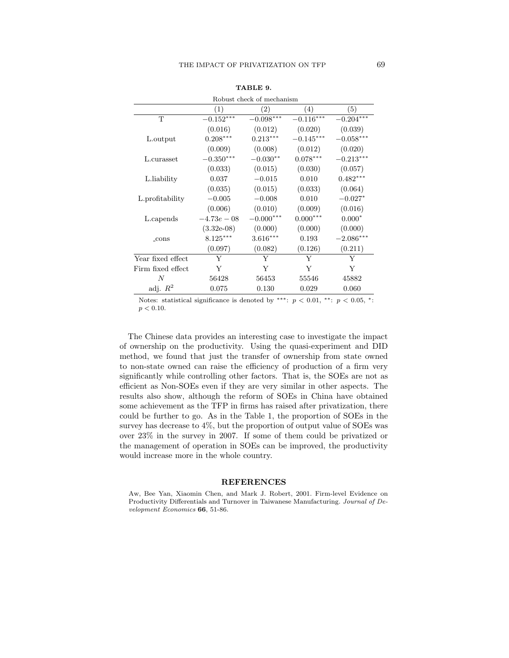|                   | Robust check of mechanism |             |             |             |  |  |
|-------------------|---------------------------|-------------|-------------|-------------|--|--|
|                   | (1)                       | (2)         | (4)         | (5)         |  |  |
| T                 | $-0.152***$               | $-0.098***$ | $-0.116***$ | $-0.204***$ |  |  |
|                   | (0.016)                   | (0.012)     | (0.020)     | (0.039)     |  |  |
| L.output          | $0.208***$                | $0.213***$  | $-0.145***$ | $-0.058***$ |  |  |
|                   | (0.009)                   | (0.008)     | (0.012)     | (0.020)     |  |  |
| L.curasset        | $-0.350***$               | $-0.030**$  | $0.078***$  | $-0.213***$ |  |  |
|                   | (0.033)                   | (0.015)     | (0.030)     | (0.057)     |  |  |
| L.liability       | 0.037                     | $-0.015$    | 0.010       | $0.482***$  |  |  |
|                   | (0.035)                   | (0.015)     | (0.033)     | (0.064)     |  |  |
| L.profitability   | $-0.005$                  | $-0.008$    | 0.010       | $-0.027*$   |  |  |
|                   | (0.006)                   | (0.010)     | (0.009)     | (0.016)     |  |  |
| L.capends         | $-4.73e-08$               | $-0.000***$ | $0.000***$  | $0.000*$    |  |  |
|                   | $(3.32e-0.8)$             | (0.000)     | (0.000)     | (0.000)     |  |  |
| $_{\rm -cons}$    | $8.125***$                | $3.616***$  | 0.193       | $-2.086***$ |  |  |
|                   | (0.097)                   | (0.082)     | (0.126)     | (0.211)     |  |  |
| Year fixed effect | Y                         | Y           | Y           | Y           |  |  |
| Firm fixed effect | Y                         | Y           | Y           | Y           |  |  |
| N                 | 56428                     | 56453       | 55546       | 45882       |  |  |
| adj. $R^2$        | 0.075                     | 0.130       | 0.029       | 0.060       |  |  |

TABLE 9.

The Chinese data provides an interesting case to investigate the impact of ownership on the productivity. Using the quasi-experiment and DID method, we found that just the transfer of ownership from state owned to non-state owned can raise the efficiency of production of a firm very significantly while controlling other factors. That is, the SOEs are not as efficient as Non-SOEs even if they are very similar in other aspects. The results also show, although the reform of SOEs in China have obtained some achievement as the TFP in firms has raised after privatization, there could be further to go. As in the Table 1, the proportion of SOEs in the survey has decrease to 4%, but the proportion of output value of SOEs was over 23% in the survey in 2007. If some of them could be privatized or the management of operation in SOEs can be improved, the productivity would increase more in the whole country.

#### REFERENCES

Aw, Bee Yan, Xiaomin Chen, and Mark J. Robert, 2001. Firm-level Evidence on Productivity Differentials and Turnover in Taiwanese Manufacturing. Journal of Development Economics 66, 51-86.

Notes: statistical significance is denoted by \*\*\*:  $p < 0.01$ , \*\*:  $p < 0.05$ , \*:  $p < 0.10$ .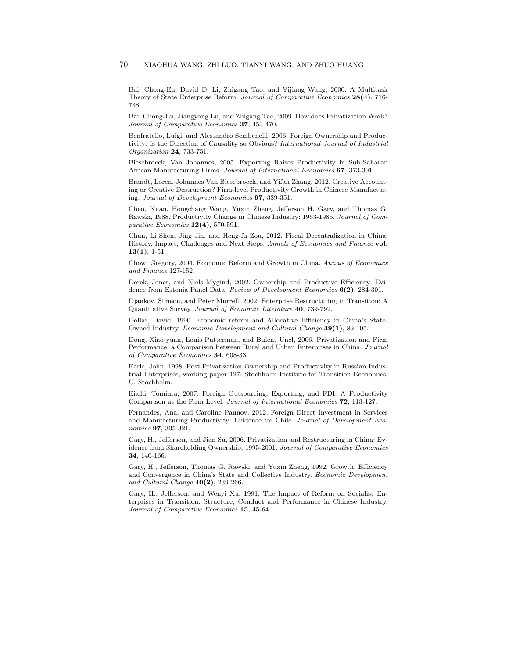Bai, Chong-En, David D. Li, Zhigang Tao, and Yijiang Wang, 2000. A Multitask Theory of State Enterprise Reform. Journal of Comparative Economics 28(4), 716- 738.

Bai, Chong-En, Jiangyong Lu, and Zhigang Tao, 2009. How does Privatization Work? Journal of Comparative Economics 37, 453-470.

Benfratello, Luigi, and Alessandro Sembenelli, 2006. Foreign Ownership and Productivity: Is the Direction of Causality so Obvious? International Journal of Industrial Organization 24, 733-751.

Biesebroeck, Van Johannes, 2005. Exporting Raises Productivity in Sub-Saharan African Manufacturing Firms. Journal of International Economics 67, 373-391.

Brandt, Loren, Johannes Van Biesebroeck, and Yifan Zhang, 2012. Creative Accounting or Creative Destruction? Firm-level Productivity Growth in Chinese Manufacturing. Journal of Development Economics 97, 339-351.

Chen, Kuan, Hongchang Wang, Yuxin Zheng, Jefferson H. Gary, and Thomas G. Rawski, 1988. Productivity Change in Chinese Industry: 1953-1985. Journal of Comparative Economics  $12(4)$ , 570-591.

Chun, Li Shen, Jing Jin, and Heng-fu Zou, 2012. Fiscal Decentralization in China: History, Impact, Challenges and Next Steps. Annals of Economics and Finance vol.  $13(1), 1-51.$ 

Chow, Gregory, 2004. Economic Reform and Growth in China. Annals of Economics and Finance 127-152.

Derek, Jones, and Niels Mygind, 2002. Ownership and Productive Efficiency: Evidence from Estonia Panel Data. Review of Development Economics 6(2), 284-301.

Djankov, Simeon, and Peter Murrell, 2002. Enterprise Restructuring in Transition: A Quantitative Survey. Journal of Economic Literature 40, 739-792.

Dollar, David, 1990. Economic reform and Allocative Efficiency in China's State-Owned Industry. Economic Development and Cultural Change 39(1), 89-105.

Dong, Xiao-yuan, Louis Putterman, and Bulent Unel, 2006. Privatization and Firm Performance: a Comparison between Rural and Urban Enterprises in China. Journal of Comparative Economics 34, 608-33.

Earle, John, 1998. Post Privatization Ownership and Productivity in Russian Industrial Enterprises, working paper 127. Stochholm Institute for Transition Economies, U. Stochholm.

Eiichi, Tomiura, 2007. Foreign Outsourcing, Exporting, and FDI: A Productivity Comparison at the Firm Level. Journal of International Economics 72, 113-127.

Fernandes, Ana, and Caroline Paunov, 2012. Foreign Direct Investment in Services and Manufacturing Productivity: Evidence for Chile. Journal of Development Economics 97, 305-321.

Gary, H., Jefferson, and Jian Su, 2006. Privatization and Restructuring in China: Evidence from Shareholding Ownership, 1995-2001. Journal of Comparative Economics 34, 146-166.

Gary, H., Jefferson, Thomas G. Rawski, and Yuxin Zheng, 1992. Growth, Efficiency and Convergence in China's State and Collective Industry. Economic Development and Cultural Change  $40(2)$ , 239-266.

Gary, H., Jefferson, and Wenyi Xu, 1991. The Impact of Reform on Socialist Enterprises in Transition: Structure, Conduct and Performance in Chinese Industry. Journal of Comparative Economics 15, 45-64.